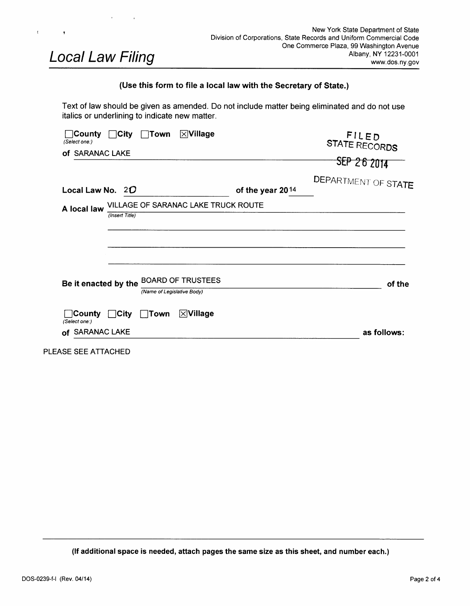| New York State Department of State<br>Division of Corporations, State Records and Uniform Commercial Code<br>One Commerce Plaza, 99 Washington Avenue<br>Albany, NY 12231-0001<br>www.dos.ny.gov<br>Text of law should be given as amended. Do not include matter being eliminated and do not use<br>FILED<br>STATE RECORDS<br><b>TIT4</b><br>DEPARTMENT OF STATE |
|-------------------------------------------------------------------------------------------------------------------------------------------------------------------------------------------------------------------------------------------------------------------------------------------------------------------------------------------------------------------|
|                                                                                                                                                                                                                                                                                                                                                                   |
|                                                                                                                                                                                                                                                                                                                                                                   |
|                                                                                                                                                                                                                                                                                                                                                                   |
|                                                                                                                                                                                                                                                                                                                                                                   |
|                                                                                                                                                                                                                                                                                                                                                                   |
|                                                                                                                                                                                                                                                                                                                                                                   |
|                                                                                                                                                                                                                                                                                                                                                                   |
|                                                                                                                                                                                                                                                                                                                                                                   |
|                                                                                                                                                                                                                                                                                                                                                                   |
|                                                                                                                                                                                                                                                                                                                                                                   |
|                                                                                                                                                                                                                                                                                                                                                                   |
| of the                                                                                                                                                                                                                                                                                                                                                            |
|                                                                                                                                                                                                                                                                                                                                                                   |

 $\mathbf{f}^{\top}$ 

**(If additional space is needed, attach pages the same size as this sheet, and number each.)**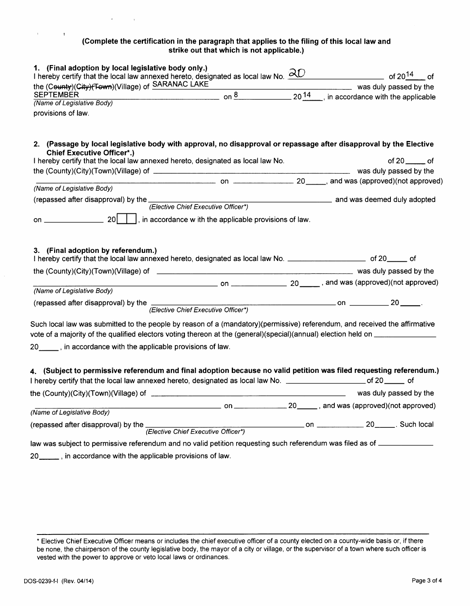#### **(Complete the certification in the paragraph that applies to the filing of this local law and strike out that which is not applicable.)**

| 1. (Final adoption by local legislative body only.)                                                    |                 |           |                                     |
|--------------------------------------------------------------------------------------------------------|-----------------|-----------|-------------------------------------|
| I hereby certify that the local law annexed hereto, designated as local law No. $\partial\overline{C}$ |                 |           | of 20 <sup>14</sup> of              |
| the (County)(City)(Town)(Village) of SARANAC LAKE                                                      |                 |           | was duly passed by the              |
| <b>SEPTEMBER</b>                                                                                       | nn <sup>ö</sup> | $20^{14}$ | , in accordance with the applicable |
| (Name of Legislative Body)                                                                             |                 |           |                                     |
| provisions of law.                                                                                     |                 |           |                                     |

**2. (Passage by local legislative body with approval, no disapproval or repassage after disapproval by the Elective Chief Executive Officer\*.)** 

| I hereby certify that the local law annexed hereto, designated as local law No.                                                                             |                                                         | of $20$ _______ of                                                                     |
|-------------------------------------------------------------------------------------------------------------------------------------------------------------|---------------------------------------------------------|----------------------------------------------------------------------------------------|
|                                                                                                                                                             |                                                         | was duly passed by the                                                                 |
|                                                                                                                                                             |                                                         |                                                                                        |
| (Name of Legislative Body)                                                                                                                                  |                                                         |                                                                                        |
| (repassed after disapproval) by the <i>(Elective Chief Executive Officer*)</i> and was deemed duly adopted (executive Chief Executive Officer*)             |                                                         |                                                                                        |
|                                                                                                                                                             | , in accordance w ith the applicable provisions of law. |                                                                                        |
| 3. (Final adoption by referendum.)<br>I hereby certify that the local law annexed hereto, designated as local law No. ______________________ of 20______ of |                                                         |                                                                                        |
|                                                                                                                                                             |                                                         | was duly passed by the                                                                 |
|                                                                                                                                                             |                                                         | $\frac{1}{20}$ on $\frac{1}{20}$ and was (approved)(not approved)                      |
| (Name of Legislative Body)                                                                                                                                  |                                                         |                                                                                        |
| (repassed after disapproval) by the                                                                                                                         | (Elective Chief Executive Officer*)                     | 20<br>$\overline{\phantom{a}}$ on $\overline{\phantom{a}}$ on $\overline{\phantom{a}}$ |
| Such local law was submitted to the neonle by reason of a (mandaton))(nermissive) referendum, and received the affirmative                                  |                                                         |                                                                                        |

**4. (Subject to permissive referendum and final adoption because no valid petition was filed requesting referendum.)**  I hereby certify that the local law annexed hereto, designated as local law No. \_\_\_\_\_\_\_\_\_\_\_\_\_\_\_\_\_\_\_\_\_\_\_\_\_\_\_ of 20 \_\_\_\_\_\_ of the (County)(City)(Town)(Village) of was duly passed by the  $\Box$  and was (approved)(not approved)  $\Box$  on  $\Box$   $\Box$   $\Box$   $\Box$  and was (approved)(not approved) 20 . Such local (repassed after disapproval) by the on (Name of Legislative Body) (Elective Chief Executive Officer\*) law was subject to permissive referendum and no valid petition requesting such referendum was filed as of \_\_\_\_\_\_\_\_\_\_\_\_\_

20 \_\_\_\_\_\_, in accordance with the applicable provisions of law.

Such local law was submitted to the people by reason of a (mandatory)(permissive) referendum, and received the affirmative vote of a majority of the qualified electors voting thereon at the (general)(special)(annual) election held on

20 \_\_\_\_\_, in accordance with the applicable provisions of law.

 $\mathbf{r} = \mathbf{r}$ 

 $\sim$  10  $\pm$ 

\* Elective Chief Executive Officer means or includes the chief executive officer of a county elected on a county-wide basis or, if there be none, the chairperson of the county legislative body, the mayor of a city or village, or the supervisor of a town where such officer is vested with the power to approve or veto local laws or ordinances.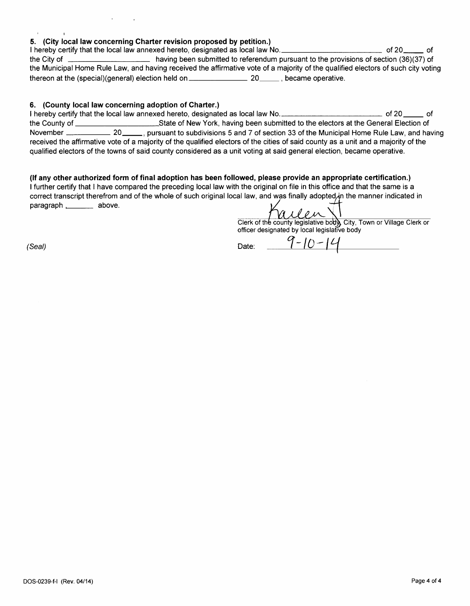#### **5. (City local law concerning Charter revision proposed by petition.)**

I hereby certify that the local law annexed hereto, designated as local law No. of 20 of the City of \_\_\_\_\_\_\_\_\_\_\_\_\_\_\_\_\_\_\_\_\_\_\_\_ having been submitted to referendum pursuant to the provisions of section (36)(37) of the Municipal Home Rule Law, and having received the affirmative vote of a majority of the qualified electors of such city voting thereon at the (special)(general) election held on \_\_\_\_\_\_\_\_\_\_\_\_\_\_\_\_\_\_\_\_\_\_\_\_\_\_\_\_\_\_\_\_\_\_, became operative.

#### **6. (County local law concerning adoption of Charter.)**

I hereby certify that the local law annexed hereto, designated as local law No. \_\_\_\_\_\_\_\_\_\_\_\_\_\_\_\_\_\_\_\_\_\_\_\_\_\_\_\_\_ of 20 \_\_\_\_\_\_ of the County of **variation controlled State of New York**, having been submitted to the electors at the General Election of November 20 , pursuantto subdivisions 5 and 7 of section 33 ofthe Municipal Home Rule Law, and having received the affirmative vote of a majority of the qualified electors of the cities of said county as a unit and a majority of the qualified electors ofthe towns of said county considered as a unit voting at said general election, became operative.

**(If any other authorized form of final adoption has been followed, please provide an appropriate certification.)**  I further certify that I have compared the preceding local law with the original on file in this office and that the same is a correct transcript therefrom and of the whole of such original local law, and was finally adopted in the manner indicated in paragraph \_\_\_\_\_\_\_\_\_ above.

Clerk of the county legislative body, City, Town or Village Clerk or officer designated by local legislative body

 $\sim 10^{-1}$ 

 $\mathsf{Date:}\quad \frac{q-10-14}{\mathsf{0}}$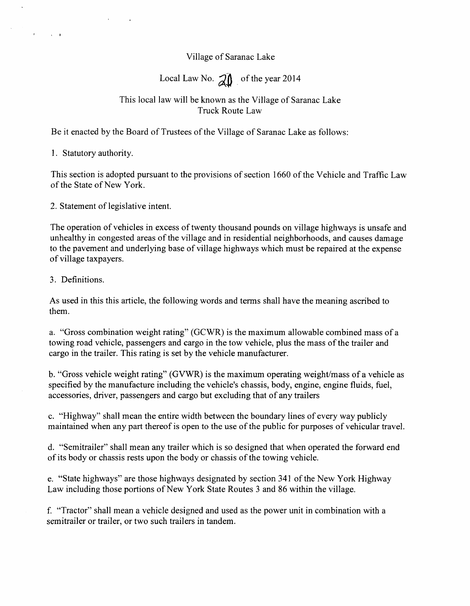# **Village of Saranac Lake**

Local Law No. 20 of the year 2014

# **This local law will be known as the Village of Saranac Lake Truck Route Law**

Be it enacted by the Board of Trustees of the Village of Saranac Lake as follows:

1. Statutory authority.

 $\mathcal{A}^{\mathcal{A}}$  , where  $\mathcal{A}^{\mathcal{A}}$ 

**This section is adopted pursuant to the provisions of section 1660 of the Vehicle and Traffic Law**  of the State of New York.

2. Statement of legislative intent.

**The operation of vehicles in excess of twenty thousand pounds on village highways is unsafe and unhealthy in congested areas of the village and in residential neighborhoods, and causes damage to the pavement and underlying base of village highways which must be repaired at the expense of village taxpayers.** 

**3. Definitions.** 

**As used in this this article, the following words and terms shall have the meaning ascribed to them.** 

**e. "State highways" are those highways designated by section 341 of the New York Highway**  Law including those portions of New York State Routes 3 and 86 within the village.

**a. "Gross combination weight rating" (GCWR) is the maximum allowable combined mass of a towing road vehicle, passengers and cargo in the tow vehicle, plus the mass of the trailer and cargo in the trailer. This rating is set by the vehicle manufacturer.** 

f. "Tractor" shall mean a vehicle designed and used as the power unit in combination with a **semitrailer or trailer, or two such trailers in tandem.** 

**b. "Gross vehicle weight rating" (GVWR) is the maximum operating weight/mass of a vehicle as**  specified by the manufacture including the vehicle's chassis, body, engine, engine fluids, fuel, **accessories, driver, passengers and cargo but excluding that of any trailers** 

**c. "Highway" shall mean the entire width between the boundary lines of every way publicly maintained when any part thereof is open to the use of the public for purposes of vehicular travel.** 

**d. "Semitrailer" shall mean any trailer which is so designed that when operated the forward end of its body or chassis rests upon the body or chassis of the towing vehicle.**